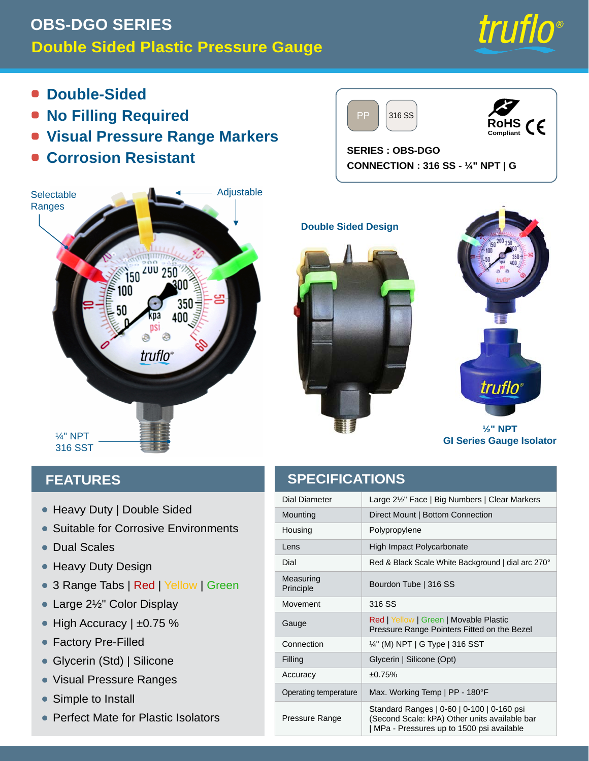## **OBS-DGO SERIES Manomètre en plastique double face**



- $\blacksquare$ **Double face**
- **Aucun remplissage requis**
- **Marqueurs visuels de gamme de pression**
- **Résistant à la corrosion**

PP 316 SS



**SERIES : OBS-DGO CONNEXION : 316 SS - ¼" NPT | G**



#### **CARACTÉRISTIQUES**

| R X E O H I D F H                                                                                       | D L D P q W U HGrand3vis¥age de F21      |                                                              |
|---------------------------------------------------------------------------------------------------------|------------------------------------------|--------------------------------------------------------------|
| & R Q Y L H Q W<br>D X [                                                                                | Montage                                  | Montage direct   Co                                          |
|                                                                                                         | Bo <sub>i</sub> tier                     | Polypropylène                                                |
| e F K H O O H V<br>GRXE                                                                                 | <b>Sentille</b>                          | Polycarbonate à im                                           |
| & R Q F H S W L R Q<br>U<br>R                                                                           | Cadran                                   | Échelle rouge et noi                                         |
| ● 3 R Q J O H W 19 R   SGaulhelH                                                                        | Principe de<br>mesure                    | Tube Bourdon   316                                           |
| p F21/J<br>$\bigcup$<br>D Q G<br>D<br>Q                                                                 | P R X Y H P H 30,61985                   |                                                              |
| p F L V±0L75R%Q<br>3 U<br>p O<br>H<br>UHPSOL<br>3 <sup>U</sup><br>H Q                                   | - D X J H                                | Rouge   Jaune   Ve<br>plastique mobiles m                    |
| $\mathsf{p}$                                                                                            | Connexion                                | $\frac{1}{4}$ " (M) NPT   G Typ                              |
| • Glyc prin H (Std)   Silicone                                                                          | 5 H P S O L V                            | <b>GlyDériheH Silicone</b>                                   |
| H V<br>G H<br>D P<br>$\langle P \rangle$<br>S U<br>H.                                                   | Précision                                | ±0.75%                                                       |
| P S O<br>H<br>L Q V W<br>6<br>$\mathbf{L}$                                                              | 7 H P S p U<br>D<br>I R Q F W<br>R<br>L. | $W - X U$ , H<br>Tempétature Gazin                           |
| D J GS HR X SU D LO IH<br>& R P S<br>W<br>S.<br>V<br><b>O</b><br>X H<br>D<br>$\mathbf{L}$<br>$\bigcirc$ | * D P P H<br>G                           | Gammes standard<br>(Second Scale: KP/<br>MPa - Pressions jus |
|                                                                                                         |                                          |                                                              |

### **SPÉCIFICATIONS**

|              |                                               | R X E    | $\Omega$<br>H             |                    | D   | H<br>F.                             |             | DLDP<br>q W U              | HGrand Gristage de 212"   GGrobs chiffees   Marqueurs clairs                                   |   |
|--------------|-----------------------------------------------|----------|---------------------------|--------------------|-----|-------------------------------------|-------------|----------------------------|------------------------------------------------------------------------------------------------|---|
| &            | $R_{\parallel}$                               | Q        | L.                        | W<br>H Q           |     | $X \mid$<br>D                       |             | Montage                    | Montage direct   Connexion inférieure                                                          | U |
|              |                                               |          |                           |                    |     |                                     |             | Bo <sub>i</sub> tier       | Polypropylène                                                                                  |   |
| $\mathbf{e}$ |                                               | H<br>K   | $\circ$<br>$\overline{O}$ | H<br>$\vee$        |     | G<br>R.                             | X E         | Šentille                   | Polycarbonate à impact élevé                                                                   |   |
| &            | R.                                            | F.<br>Q  | - S<br>H                  | W<br>L             | R.  | U<br>$\Omega$                       | $\mathsf R$ | Cadran                     | Échelle rouge et noire, fond blanc, arc de cadran 270°                                         |   |
| 3 R          | Q                                             |          | H<br>$\cup$               | $\mathbf{5}$<br>W  |     | R <b>Maume</b> H                    |             | Principe de<br>mesure      | Tube Bourdon   316 SS                                                                          |   |
|              | F<br>D.<br>Q G<br>$p$ $E2$ $/$<br>U<br>D<br>Q |          |                           |                    |     |                                     |             | P R X Y H P<br>$H$ 306 KSS |                                                                                                |   |
| 3            | U                                             | F<br>p   | L.                        | V±0.7R%            |     | p O                                 | H           | - D X J H                  | Rouge   Jaune   Vert   Pointeurs de portée en                                                  |   |
|              | 3 U                                           | p        |                           | UHPS               | O L | H                                   | $\mathbf Q$ |                            | plastique mobiles montés sur la lunette                                                        |   |
|              |                                               |          |                           |                    |     |                                     |             | Connexion                  | 1/4" (M) NPT   G Type   316 SST                                                                |   |
|              | Glyc prin                                     |          |                           | H (Std)   Silicone |     |                                     |             | 5 H P S O L V              | <b>GlyDeriheH Silicone (facultatif)</b>                                                        |   |
|              | D                                             | P<br>P   | H                         | G.                 | H   | SU                                  | H           | Précision                  | ±0.75%                                                                                         |   |
| 6.           |                                               | P.<br>S. | $\overline{O}$<br>H       |                    |     | Q<br>V                              | W           | 7 H P S p U D<br>IR Q F    | W Tompé d'uye Giazimale de travail   PP - 180°F                                                |   |
| &            | R                                             | P<br>S   | D                         | $H\!R$<br>Œ        |     | $\circledcirc$<br>$\mathbf{E}$<br>D | -IH         | D P P H<br>$\star$<br>G    | Gammes standard   0-60   0-100   0-160 psi<br>(Second Scale: kPA) utres unités disponibles bar |   |
|              |                                               |          | W                         |                    | H   |                                     |             |                            | MPa - Pressions jusqu'à 1500 psi disponibles                                                   |   |
|              |                                               |          |                           |                    |     |                                     |             |                            |                                                                                                |   |